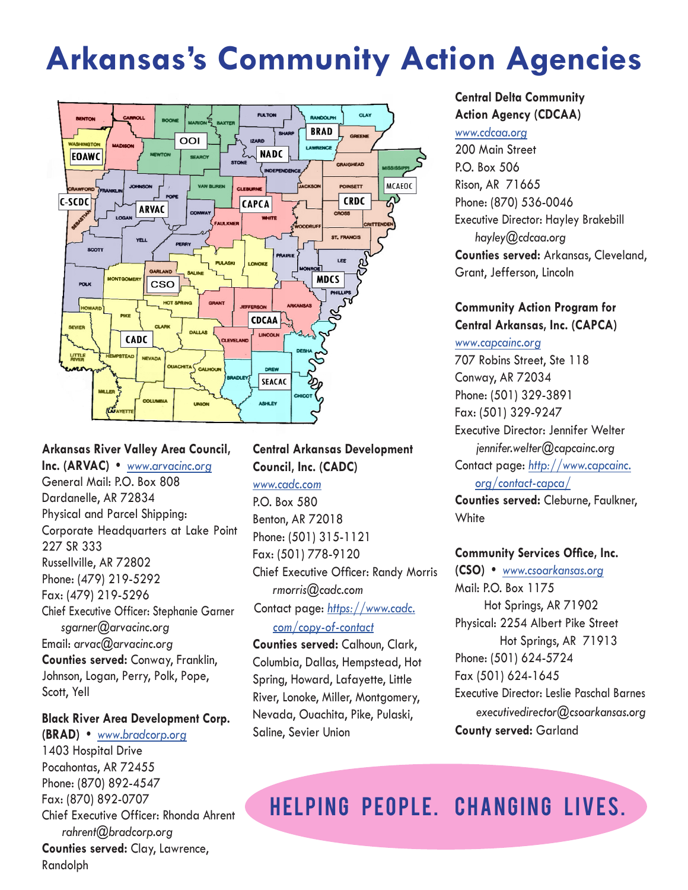# **Arkansas's Community Action Agencies**



# **Arkansas River Valley Area Council,**

**Inc. (ARVAC) •** *[www.arvacinc.org](http://www.arvacinc.org)*

General Mail: P.O. Box 808 Dardanelle, AR 72834 Physical and Parcel Shipping: Corporate Headquarters at Lake Point 227 SR 333 Russellville, AR 72802 Phone: (479) 219-5292 Fax: (479) 219-5296 Chief Executive Officer: Stephanie Garner *sgarner@arvacinc.org* Email: *arvac@arvacinc.org* **Counties served:** Conway, Franklin, Johnson, Logan, Perry, Polk, Pope, Scott, Yell

#### **Black River Area Development Corp.**

**(BRAD) •** *[www.bradcorp.org](http://www.bradcorp.org)* 1403 Hospital Drive Pocahontas, AR 72455 Phone: (870) 892-4547 Fax: (870) 892-0707 Chief Executive Officer: Rhonda Ahrent  *rahrent@bradcorp.org* **Counties served:** Clay, Lawrence, Randolph

# **Central Arkansas Development Council, Inc. (CADC)**

*[www.cadc.com](http://www.cadc.com)*

P.O. Box 580 Benton, AR 72018 Phone: (501) 315-1121 Fax: (501) 778-9120 Chief Executive Officer: Randy Morris *rmorris@cadc.com* Contact page: *[https://www.cadc.](https://www.cadc.com/copy-of-contact)*

*[com/copy-of-contact](https://www.cadc.com/copy-of-contact)*

**Counties served:** Calhoun, Clark, Columbia, Dallas, Hempstead, Hot Spring, Howard, Lafayette, Little River, Lonoke, Miller, Montgomery, Nevada, Ouachita, Pike, Pulaski, Saline, Sevier Union

#### **Central Delta Community Action Agency (CDCAA)**

#### *[www.cdcaa.org](http://www.cdcaa.org)*

200 Main Street P.O. Box 506 Rison, AR 71665 Phone: (870) 536-0046 Executive Director: Hayley Brakebill *hayley@cdcaa.org* **Counties served:** Arkansas, Cleveland, Grant, Jefferson, Lincoln

### **Community Action Program for Central Arkansas, Inc. (CAPCA)**

#### *[www.capcainc.org](http://www.capcainc.org)*

707 Robins Street, Ste 118 Conway, AR 72034 Phone: (501) 329-3891 Fax: (501) 329-9247 Executive Director: Jennifer Welter *jennifer.welter@capcainc.org*  Contact page: *[http://www.capcainc.](http://www.capcainc.org/contact-capca/) [org/contact-capca/](http://www.capcainc.org/contact-capca/)*

**Counties served:** Cleburne, Faulkner, **White** 

#### **Community Services Office, Inc.**

**(CSO) •** *[www.csoarkansas.org](http://www.csoarkansas.org)* Mail: P.O. Box 1175 Hot Springs, AR 71902 Physical: 2254 Albert Pike Street Hot Springs, AR 71913 Phone: (501) 624-5724 Fax (501) 624-1645 Executive Director: Leslie Paschal Barnes *executivedirector@csoarkansas.org*  **County served:** Garland

HELPING PEOPLE. CHANGING LIVES.